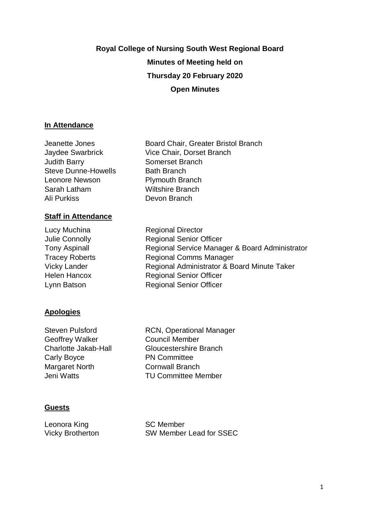# **Royal College of Nursing South West Regional Board Minutes of Meeting held on Thursday 20 February 2020 Open Minutes**

### **In Attendance**

Jeanette Jones Jaydee Swarbrick Judith Barry Steve Dunne-Howells Leonore Newson Sarah Latham Ali Purkiss

## **Staff in Attendance**

Lucy Muchina Julie Connolly Tony Aspinall Tracey Roberts Vicky Lander Helen Hancox Lynn Batson

# **Apologies**

Steven Pulsford Geoffrey Walker Charlotte Jakab-Hall Carly Boyce Margaret North Jeni Watts

Board Chair, Greater Bristol Branch Vice Chair, Dorset Branch Somerset Branch Bath Branch Plymouth Branch Wiltshire Branch Devon Branch

Regional Director Regional Senior Officer Regional Service Manager & Board Administrator Regional Comms Manager Regional Administrator & Board Minute Taker Regional Senior Officer Regional Senior Officer

RCN, Operational Manager Council Member Gloucestershire Branch PN Committee Cornwall Branch TU Committee Member

### **Guests**

Leonora King Vicky Brotherton SC Member SW Member Lead for SSEC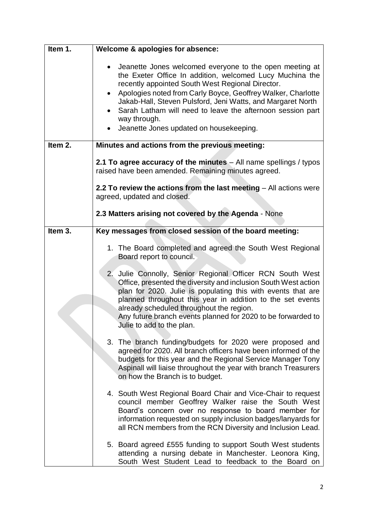| Item 1. | Welcome & apologies for absence:                                                                                                                                                                                                                                                                                                                                                                                                                          |
|---------|-----------------------------------------------------------------------------------------------------------------------------------------------------------------------------------------------------------------------------------------------------------------------------------------------------------------------------------------------------------------------------------------------------------------------------------------------------------|
|         | Jeanette Jones welcomed everyone to the open meeting at<br>$\bullet$<br>the Exeter Office In addition, welcomed Lucy Muchina the<br>recently appointed South West Regional Director.<br>Apologies noted from Carly Boyce, Geoffrey Walker, Charlotte<br>$\bullet$<br>Jakab-Hall, Steven Pulsford, Jeni Watts, and Margaret North<br>Sarah Latham will need to leave the afternoon session part<br>way through.<br>Jeanette Jones updated on housekeeping. |
| Item 2. | Minutes and actions from the previous meeting:                                                                                                                                                                                                                                                                                                                                                                                                            |
|         | 2.1 To agree accuracy of the minutes - All name spellings / typos<br>raised have been amended. Remaining minutes agreed.                                                                                                                                                                                                                                                                                                                                  |
|         | 2.2 To review the actions from the last meeting $-$ All actions were<br>agreed, updated and closed.                                                                                                                                                                                                                                                                                                                                                       |
|         | 2.3 Matters arising not covered by the Agenda - None                                                                                                                                                                                                                                                                                                                                                                                                      |
| Item 3. | Key messages from closed session of the board meeting:                                                                                                                                                                                                                                                                                                                                                                                                    |
|         | 1. The Board completed and agreed the South West Regional<br>Board report to council.                                                                                                                                                                                                                                                                                                                                                                     |
|         | 2. Julie Connolly, Senior Regional Officer RCN South West<br>Office, presented the diversity and inclusion South West action<br>plan for 2020. Julie is populating this with events that are<br>planned throughout this year in addition to the set events<br>already scheduled throughout the region.<br>Any future branch events planned for 2020 to be forwarded to<br>Julie to add to the plan.                                                       |
|         | 3. The branch funding/budgets for 2020 were proposed and<br>agreed for 2020. All branch officers have been informed of the<br>budgets for this year and the Regional Service Manager Tony<br>Aspinall will liaise throughout the year with branch Treasurers<br>on how the Branch is to budget.                                                                                                                                                           |
|         | 4. South West Regional Board Chair and Vice-Chair to request<br>council member Geoffrey Walker raise the South West<br>Board's concern over no response to board member for<br>information requested on supply inclusion badges/lanyards for<br>all RCN members from the RCN Diversity and Inclusion Lead.                                                                                                                                                |
|         | 5. Board agreed £555 funding to support South West students<br>attending a nursing debate in Manchester. Leonora King,<br>South West Student Lead to feedback to the Board on                                                                                                                                                                                                                                                                             |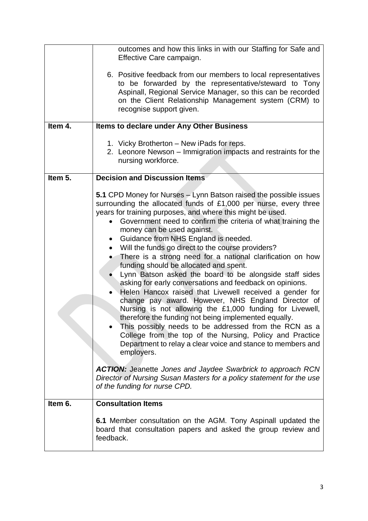|         | outcomes and how this links in with our Staffing for Safe and<br>Effective Care campaign.                                                                                                                                                                                                                                                                                                                                                                                                                                                                                                                                                                                                                                                                                                                                                                                                                                                                                                                                                                                         |
|---------|-----------------------------------------------------------------------------------------------------------------------------------------------------------------------------------------------------------------------------------------------------------------------------------------------------------------------------------------------------------------------------------------------------------------------------------------------------------------------------------------------------------------------------------------------------------------------------------------------------------------------------------------------------------------------------------------------------------------------------------------------------------------------------------------------------------------------------------------------------------------------------------------------------------------------------------------------------------------------------------------------------------------------------------------------------------------------------------|
|         | 6. Positive feedback from our members to local representatives<br>to be forwarded by the representative/steward to Tony<br>Aspinall, Regional Service Manager, so this can be recorded<br>on the Client Relationship Management system (CRM) to<br>recognise support given.                                                                                                                                                                                                                                                                                                                                                                                                                                                                                                                                                                                                                                                                                                                                                                                                       |
| Item 4. | <b>Items to declare under Any Other Business</b>                                                                                                                                                                                                                                                                                                                                                                                                                                                                                                                                                                                                                                                                                                                                                                                                                                                                                                                                                                                                                                  |
|         | 1. Vicky Brotherton - New iPads for reps.<br>2. Leonore Newson – Immigration impacts and restraints for the<br>nursing workforce.                                                                                                                                                                                                                                                                                                                                                                                                                                                                                                                                                                                                                                                                                                                                                                                                                                                                                                                                                 |
| Item 5. | <b>Decision and Discussion Items</b>                                                                                                                                                                                                                                                                                                                                                                                                                                                                                                                                                                                                                                                                                                                                                                                                                                                                                                                                                                                                                                              |
|         | 5.1 CPD Money for Nurses – Lynn Batson raised the possible issues<br>surrounding the allocated funds of £1,000 per nurse, every three<br>years for training purposes, and where this might be used.<br>Government need to confirm the criteria of what training the<br>money can be used against.<br>Guidance from NHS England is needed.<br>$\bullet$<br>Will the funds go direct to the course providers?<br>There is a strong need for a national clarification on how<br>funding should be allocated and spent.<br>Lynn Batson asked the board to be alongside staff sides<br>asking for early conversations and feedback on opinions.<br>Helen Hancox raised that Livewell received a gender for<br>change pay award. However, NHS England Director of<br>Nursing is not allowing the £1,000 funding for Livewell,<br>therefore the funding not being implemented equally.<br>This possibly needs to be addressed from the RCN as a<br>College from the top of the Nursing, Policy and Practice<br>Department to relay a clear voice and stance to members and<br>employers. |
|         | <b>ACTION:</b> Jeanette Jones and Jaydee Swarbrick to approach RCN<br>Director of Nursing Susan Masters for a policy statement for the use<br>of the funding for nurse CPD.                                                                                                                                                                                                                                                                                                                                                                                                                                                                                                                                                                                                                                                                                                                                                                                                                                                                                                       |
| Item 6. | <b>Consultation Items</b>                                                                                                                                                                                                                                                                                                                                                                                                                                                                                                                                                                                                                                                                                                                                                                                                                                                                                                                                                                                                                                                         |
|         | 6.1 Member consultation on the AGM. Tony Aspinall updated the<br>board that consultation papers and asked the group review and<br>feedback.                                                                                                                                                                                                                                                                                                                                                                                                                                                                                                                                                                                                                                                                                                                                                                                                                                                                                                                                       |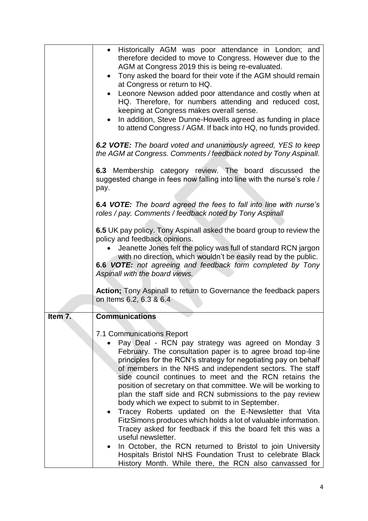|         | Historically AGM was poor attendance in London; and<br>therefore decided to move to Congress. However due to the            |
|---------|-----------------------------------------------------------------------------------------------------------------------------|
|         | AGM at Congress 2019 this is being re-evaluated.                                                                            |
|         | • Tony asked the board for their vote if the AGM should remain<br>at Congress or return to HQ.                              |
|         | Leonore Newson added poor attendance and costly when at                                                                     |
|         | HQ. Therefore, for numbers attending and reduced cost,                                                                      |
|         | keeping at Congress makes overall sense.                                                                                    |
|         | In addition, Steve Dunne-Howells agreed as funding in place                                                                 |
|         | to attend Congress / AGM. If back into HQ, no funds provided.                                                               |
|         | 6.2 VOTE: The board voted and unanimously agreed, YES to keep                                                               |
|         | the AGM at Congress. Comments / feedback noted by Tony Aspinall.                                                            |
|         | 6.3 Membership category review. The board discussed the                                                                     |
|         | suggested change in fees now falling into line with the nurse's role /                                                      |
|         | pay.                                                                                                                        |
|         | 6.4 VOTE: The board agreed the fees to fall into line with nurse's                                                          |
|         | roles / pay. Comments / feedback noted by Tony Aspinall                                                                     |
|         |                                                                                                                             |
|         | 6.5 UK pay policy. Tony Aspinall asked the board group to review the                                                        |
|         | policy and feedback opinions.<br>Jeanette Jones felt the policy was full of standard RCN jargon                             |
|         | with no direction, which wouldn't be easily read by the public.                                                             |
|         | 6.6 VOTE: not agreeing and feedback form completed by Tony                                                                  |
|         | Aspinall with the board views.                                                                                              |
|         | Action; Tony Aspinall to return to Governance the feedback papers                                                           |
|         | on Items 6.2, 6.3 & 6.4                                                                                                     |
|         |                                                                                                                             |
| Item 7. | <b>Communications</b>                                                                                                       |
|         | 7.1 Communications Report                                                                                                   |
|         | Pay Deal - RCN pay strategy was agreed on Monday 3                                                                          |
|         | February. The consultation paper is to agree broad top-line                                                                 |
|         | principles for the RCN's strategy for negotiating pay on behalf<br>of members in the NHS and independent sectors. The staff |
|         | side council continues to meet and the RCN retains the                                                                      |
|         | position of secretary on that committee. We will be working to                                                              |
|         | plan the staff side and RCN submissions to the pay review                                                                   |
|         | body which we expect to submit to in September.<br>Tracey Roberts updated on the E-Newsletter that Vita                     |
|         | FitzSimons produces which holds a lot of valuable information.                                                              |
|         | Tracey asked for feedback if this the board felt this was a                                                                 |
|         | useful newsletter.                                                                                                          |
|         | In October, the RCN returned to Bristol to join University<br>Hospitals Bristol NHS Foundation Trust to celebrate Black     |
|         | History Month. While there, the RCN also canvassed for                                                                      |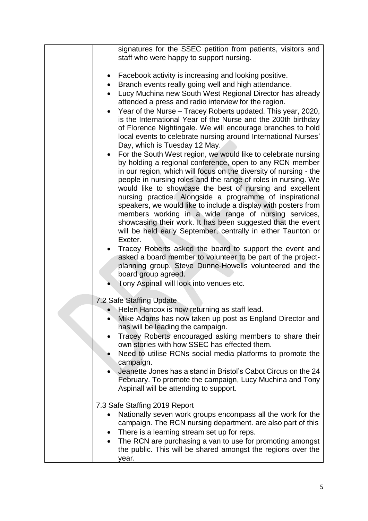| staff who were happy to support nursing.<br>Facebook activity is increasing and looking positive.<br>Branch events really going well and high attendance.<br>$\bullet$<br>Lucy Muchina new South West Regional Director has already<br>attended a press and radio interview for the region.<br>Year of the Nurse - Tracey Roberts updated. This year, 2020,<br>is the International Year of the Nurse and the 200th birthday<br>of Florence Nightingale. We will encourage branches to hold<br>local events to celebrate nursing around International Nurses'<br>Day, which is Tuesday 12 May. |  |
|------------------------------------------------------------------------------------------------------------------------------------------------------------------------------------------------------------------------------------------------------------------------------------------------------------------------------------------------------------------------------------------------------------------------------------------------------------------------------------------------------------------------------------------------------------------------------------------------|--|
|                                                                                                                                                                                                                                                                                                                                                                                                                                                                                                                                                                                                |  |
|                                                                                                                                                                                                                                                                                                                                                                                                                                                                                                                                                                                                |  |
|                                                                                                                                                                                                                                                                                                                                                                                                                                                                                                                                                                                                |  |
|                                                                                                                                                                                                                                                                                                                                                                                                                                                                                                                                                                                                |  |
|                                                                                                                                                                                                                                                                                                                                                                                                                                                                                                                                                                                                |  |
|                                                                                                                                                                                                                                                                                                                                                                                                                                                                                                                                                                                                |  |
|                                                                                                                                                                                                                                                                                                                                                                                                                                                                                                                                                                                                |  |
|                                                                                                                                                                                                                                                                                                                                                                                                                                                                                                                                                                                                |  |
| For the South West region, we would like to celebrate nursing                                                                                                                                                                                                                                                                                                                                                                                                                                                                                                                                  |  |
| by holding a regional conference, open to any RCN member                                                                                                                                                                                                                                                                                                                                                                                                                                                                                                                                       |  |
| in our region, which will focus on the diversity of nursing - the                                                                                                                                                                                                                                                                                                                                                                                                                                                                                                                              |  |
| people in nursing roles and the range of roles in nursing. We                                                                                                                                                                                                                                                                                                                                                                                                                                                                                                                                  |  |
| would like to showcase the best of nursing and excellent<br>nursing practice. Alongside a programme of inspirational                                                                                                                                                                                                                                                                                                                                                                                                                                                                           |  |
| speakers, we would like to include a display with posters from                                                                                                                                                                                                                                                                                                                                                                                                                                                                                                                                 |  |
| members working in a wide range of nursing services,                                                                                                                                                                                                                                                                                                                                                                                                                                                                                                                                           |  |
| showcasing their work. It has been suggested that the event                                                                                                                                                                                                                                                                                                                                                                                                                                                                                                                                    |  |
| will be held early September, centrally in either Taunton or<br>Exeter.                                                                                                                                                                                                                                                                                                                                                                                                                                                                                                                        |  |
| Tracey Roberts asked the board to support the event and                                                                                                                                                                                                                                                                                                                                                                                                                                                                                                                                        |  |
| asked a board member to volunteer to be part of the project-                                                                                                                                                                                                                                                                                                                                                                                                                                                                                                                                   |  |
| planning group. Steve Dunne-Howells volunteered and the<br>board group agreed.                                                                                                                                                                                                                                                                                                                                                                                                                                                                                                                 |  |
| Tony Aspinall will look into venues etc.                                                                                                                                                                                                                                                                                                                                                                                                                                                                                                                                                       |  |
|                                                                                                                                                                                                                                                                                                                                                                                                                                                                                                                                                                                                |  |
| 7.2 Safe Staffing Update                                                                                                                                                                                                                                                                                                                                                                                                                                                                                                                                                                       |  |
| Helen Hancox is now returning as staff lead.<br>• Mike Adams has now taken up post as England Director and                                                                                                                                                                                                                                                                                                                                                                                                                                                                                     |  |
| has will be leading the campaign.                                                                                                                                                                                                                                                                                                                                                                                                                                                                                                                                                              |  |
| Tracey Roberts encouraged asking members to share their                                                                                                                                                                                                                                                                                                                                                                                                                                                                                                                                        |  |
| own stories with how SSEC has effected them.                                                                                                                                                                                                                                                                                                                                                                                                                                                                                                                                                   |  |
| Need to utilise RCNs social media platforms to promote the<br>campaign.                                                                                                                                                                                                                                                                                                                                                                                                                                                                                                                        |  |
| Jeanette Jones has a stand in Bristol's Cabot Circus on the 24                                                                                                                                                                                                                                                                                                                                                                                                                                                                                                                                 |  |
| February. To promote the campaign, Lucy Muchina and Tony                                                                                                                                                                                                                                                                                                                                                                                                                                                                                                                                       |  |
| Aspinall will be attending to support.                                                                                                                                                                                                                                                                                                                                                                                                                                                                                                                                                         |  |
| 7.3 Safe Staffing 2019 Report                                                                                                                                                                                                                                                                                                                                                                                                                                                                                                                                                                  |  |
| Nationally seven work groups encompass all the work for the                                                                                                                                                                                                                                                                                                                                                                                                                                                                                                                                    |  |
| campaign. The RCN nursing department. are also part of this                                                                                                                                                                                                                                                                                                                                                                                                                                                                                                                                    |  |
| There is a learning stream set up for reps.<br>٠                                                                                                                                                                                                                                                                                                                                                                                                                                                                                                                                               |  |
| The RCN are purchasing a van to use for promoting amongst<br>the public. This will be shared amongst the regions over the                                                                                                                                                                                                                                                                                                                                                                                                                                                                      |  |
| year.                                                                                                                                                                                                                                                                                                                                                                                                                                                                                                                                                                                          |  |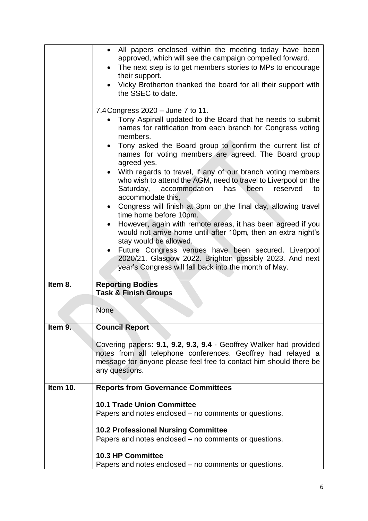|          | • All papers enclosed within the meeting today have been<br>approved, which will see the campaign compelled forward.                  |
|----------|---------------------------------------------------------------------------------------------------------------------------------------|
|          | • The next step is to get members stories to MPs to encourage                                                                         |
|          | their support.                                                                                                                        |
|          | Vicky Brotherton thanked the board for all their support with<br>the SSEC to date.                                                    |
|          | 7.4 Congress 2020 - June 7 to 11.                                                                                                     |
|          | Tony Aspinall updated to the Board that he needs to submit<br>names for ratification from each branch for Congress voting<br>members. |
|          | • Tony asked the Board group to confirm the current list of<br>names for voting members are agreed. The Board group                   |
|          | agreed yes.<br>• With regards to travel, if any of our branch voting members                                                          |
|          | who wish to attend the AGM, need to travel to Liverpool on the<br>Saturday, accommodation<br>has<br>been reserved<br>to               |
|          | accommodate this.<br>Congress will finish at 3pm on the final day, allowing travel<br>time home before 10pm.                          |
|          | However, again with remote areas, it has been agreed if you                                                                           |
|          | would not arrive home until after 10pm, then an extra night's<br>stay would be allowed.                                               |
|          | Future Congress venues have been secured. Liverpool                                                                                   |
|          | 2020/21. Glasgow 2022. Brighton possibly 2023. And next<br>year's Congress will fall back into the month of May.                      |
| Item 8.  | <b>Reporting Bodies</b>                                                                                                               |
|          | <b>Task &amp; Finish Groups</b>                                                                                                       |
|          | <b>None</b>                                                                                                                           |
| Item 9.  | <b>Council Report</b>                                                                                                                 |
|          | Covering papers: 9.1, 9.2, 9.3, 9.4 - Geoffrey Walker had provided                                                                    |
|          | notes from all telephone conferences. Geoffrey had relayed a                                                                          |
|          | message for anyone please feel free to contact him should there be<br>any questions.                                                  |
|          |                                                                                                                                       |
| Item 10. | <b>Reports from Governance Committees</b>                                                                                             |
|          | <b>10.1 Trade Union Committee</b>                                                                                                     |
|          | Papers and notes enclosed – no comments or questions.                                                                                 |
|          | <b>10.2 Professional Nursing Committee</b>                                                                                            |
|          | Papers and notes enclosed – no comments or questions.                                                                                 |
|          | 10.3 HP Committee                                                                                                                     |
|          | Papers and notes enclosed – no comments or questions.                                                                                 |